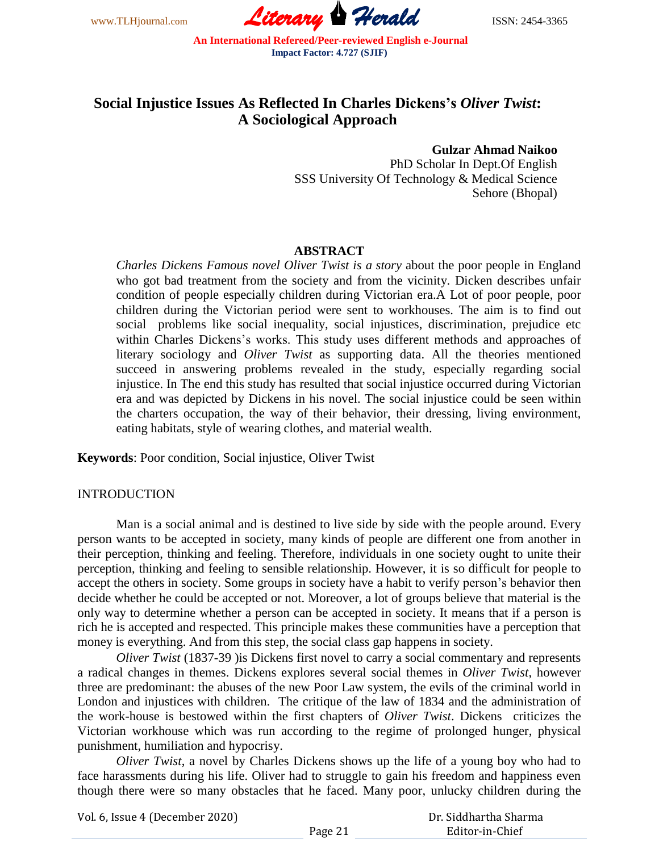www.TLHjournal.com **Literary Herald** ISSN: 2454-3365

# **Social Injustice Issues As Reflected In Charles Dickens's** *Oliver Twist***: A Sociological Approach**

**Gulzar Ahmad Naikoo**

PhD Scholar In Dept.Of English SSS University Of Technology & Medical Science Sehore (Bhopal)

# **ABSTRACT**

*Charles Dickens Famous novel Oliver Twist is a story* about the poor people in England who got bad treatment from the society and from the vicinity. Dicken describes unfair condition of people especially children during Victorian era.A Lot of poor people, poor children during the Victorian period were sent to workhouses. The aim is to find out social problems like social inequality, social injustices, discrimination, prejudice etc within Charles Dickens's works. This study uses different methods and approaches of literary sociology and *Oliver Twist* as supporting data. All the theories mentioned succeed in answering problems revealed in the study, especially regarding social injustice. In The end this study has resulted that social injustice occurred during Victorian era and was depicted by Dickens in his novel. The social injustice could be seen within the charters occupation, the way of their behavior, their dressing, living environment, eating habitats, style of wearing clothes, and material wealth.

**Keywords**: Poor condition, Social injustice, Oliver Twist

# INTRODUCTION

Man is a social animal and is destined to live side by side with the people around. Every person wants to be accepted in society, many kinds of people are different one from another in their perception, thinking and feeling. Therefore, individuals in one society ought to unite their perception, thinking and feeling to sensible relationship. However, it is so difficult for people to accept the others in society. Some groups in society have a habit to verify person's behavior then decide whether he could be accepted or not. Moreover, a lot of groups believe that material is the only way to determine whether a person can be accepted in society. It means that if a person is rich he is accepted and respected. This principle makes these communities have a perception that money is everything. And from this step, the social class gap happens in society.

*Oliver Twist* (1837-39 )is Dickens first novel to carry a social commentary and represents a radical changes in themes. Dickens explores several social themes in *Oliver Twist*, however three are predominant: the abuses of the new Poor Law system, the evils of the criminal world in London and injustices with children. The critique of the law of 1834 and the administration of the work-house is bestowed within the first chapters of *Oliver Twist*. Dickens criticizes the Victorian workhouse which was run according to the regime of prolonged hunger, physical punishment, humiliation and hypocrisy.

*Oliver Twist*, a novel by Charles Dickens shows up the life of a young boy who had to face harassments during his life. Oliver had to struggle to gain his freedom and happiness even though there were so many obstacles that he faced. Many poor, unlucky children during the

Vol. 6, Issue 4 (December 2020)

 Dr. Siddhartha Sharma Editor-in-Chief

Page 21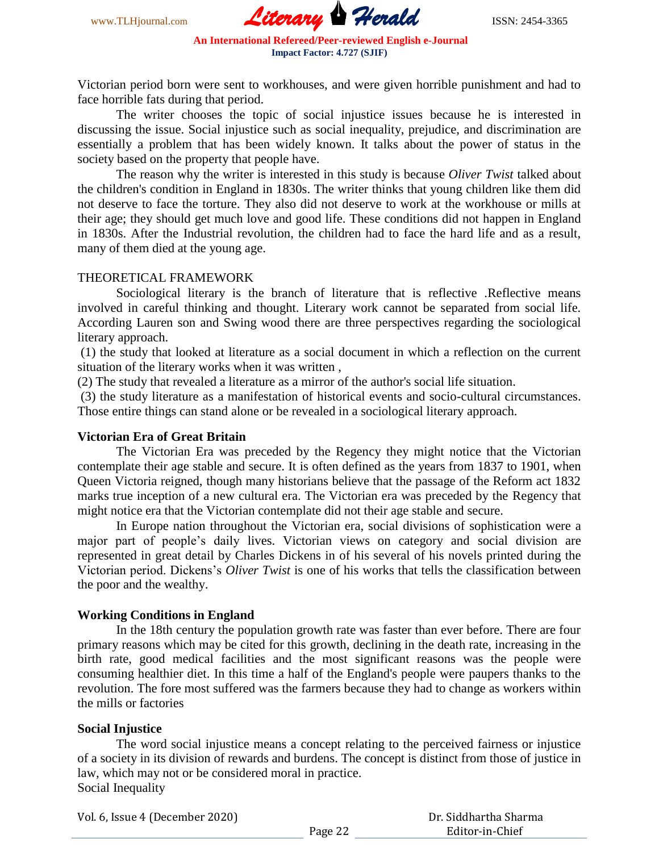www.TLHjournal.com **Literary Herald ISSN: 2454-3365** 

Victorian period born were sent to workhouses, and were given horrible punishment and had to face horrible fats during that period.

The writer chooses the topic of social injustice issues because he is interested in discussing the issue. Social injustice such as social inequality, prejudice, and discrimination are essentially a problem that has been widely known. It talks about the power of status in the society based on the property that people have.

The reason why the writer is interested in this study is because *Oliver Twist* talked about the children's condition in England in 1830s. The writer thinks that young children like them did not deserve to face the torture. They also did not deserve to work at the workhouse or mills at their age; they should get much love and good life. These conditions did not happen in England in 1830s. After the Industrial revolution, the children had to face the hard life and as a result, many of them died at the young age.

## THEORETICAL FRAMEWORK

Sociological literary is the branch of literature that is reflective .Reflective means involved in careful thinking and thought. Literary work cannot be separated from social life. According Lauren son and Swing wood there are three perspectives regarding the sociological literary approach.

(1) the study that looked at literature as a social document in which a reflection on the current situation of the literary works when it was written ,

(2) The study that revealed a literature as a mirror of the author's social life situation.

(3) the study literature as a manifestation of historical events and socio-cultural circumstances. Those entire things can stand alone or be revealed in a sociological literary approach.

# **Victorian Era of Great Britain**

The Victorian Era was preceded by the Regency they might notice that the Victorian contemplate their age stable and secure. It is often defined as the years from 1837 to 1901, when Queen Victoria reigned, though many historians believe that the passage of the Reform act 1832 marks true inception of a new cultural era. The Victorian era was preceded by the Regency that might notice era that the Victorian contemplate did not their age stable and secure.

In Europe nation throughout the Victorian era, social divisions of sophistication were a major part of people's daily lives. Victorian views on category and social division are represented in great detail by Charles Dickens in of his several of his novels printed during the Victorian period. Dickens's *Oliver Twist* is one of his works that tells the classification between the poor and the wealthy.

# **Working Conditions in England**

In the 18th century the population growth rate was faster than ever before. There are four primary reasons which may be cited for this growth, declining in the death rate, increasing in the birth rate, good medical facilities and the most significant reasons was the people were consuming healthier diet. In this time a half of the England's people were paupers thanks to the revolution. The fore most suffered was the farmers because they had to change as workers within the mills or factories

#### **Social Injustice**

The word social injustice means a concept relating to the perceived fairness or injustice of a society in its division of rewards and burdens. The concept is distinct from those of justice in law, which may not or be considered moral in practice. Social Inequality

Vol. 6, Issue 4 (December 2020)

 Dr. Siddhartha Sharma Editor-in-Chief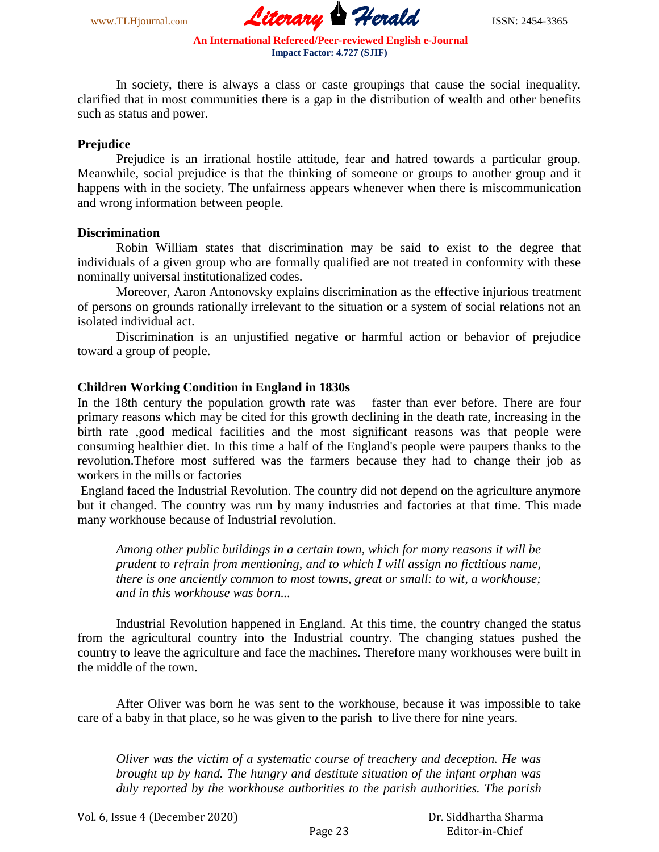www.TLHjournal.com *Literary Herald*ISSN: 2454-3365

In society, there is always a class or caste groupings that cause the social inequality. clarified that in most communities there is a gap in the distribution of wealth and other benefits such as status and power.

#### **Prejudice**

Prejudice is an irrational hostile attitude, fear and hatred towards a particular group. Meanwhile, social prejudice is that the thinking of someone or groups to another group and it happens with in the society. The unfairness appears whenever when there is miscommunication and wrong information between people.

## **Discrimination**

Robin William states that discrimination may be said to exist to the degree that individuals of a given group who are formally qualified are not treated in conformity with these nominally universal institutionalized codes.

Moreover, Aaron Antonovsky explains discrimination as the effective injurious treatment of persons on grounds rationally irrelevant to the situation or a system of social relations not an isolated individual act.

Discrimination is an unjustified negative or harmful action or behavior of prejudice toward a group of people.

#### **Children Working Condition in England in 1830s**

In the 18th century the population growth rate was faster than ever before. There are four primary reasons which may be cited for this growth declining in the death rate, increasing in the birth rate ,good medical facilities and the most significant reasons was that people were consuming healthier diet. In this time a half of the England's people were paupers thanks to the revolution.Thefore most suffered was the farmers because they had to change their job as workers in the mills or factories

England faced the Industrial Revolution. The country did not depend on the agriculture anymore but it changed. The country was run by many industries and factories at that time. This made many workhouse because of Industrial revolution.

*Among other public buildings in a certain town, which for many reasons it will be prudent to refrain from mentioning, and to which I will assign no fictitious name, there is one anciently common to most towns, great or small: to wit, a workhouse; and in this workhouse was born...*

Industrial Revolution happened in England. At this time, the country changed the status from the agricultural country into the Industrial country. The changing statues pushed the country to leave the agriculture and face the machines. Therefore many workhouses were built in the middle of the town.

After Oliver was born he was sent to the workhouse, because it was impossible to take care of a baby in that place, so he was given to the parish to live there for nine years.

*Oliver was the victim of a systematic course of treachery and deception. He was brought up by hand. The hungry and destitute situation of the infant orphan was duly reported by the workhouse authorities to the parish authorities. The parish* 

Vol. 6, Issue 4 (December 2020)

 Dr. Siddhartha Sharma Editor-in-Chief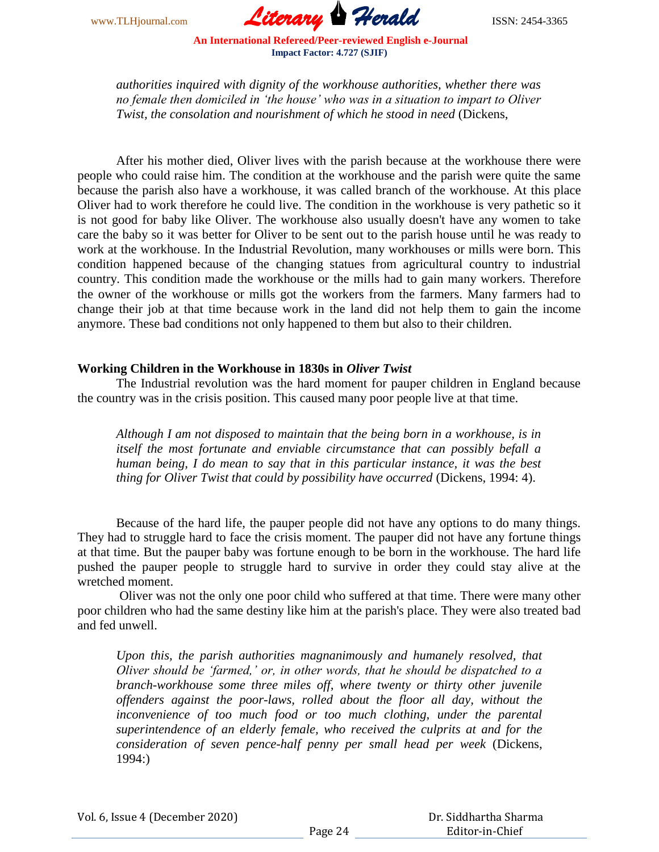www.TLHjournal.com *Literary Herald*ISSN: 2454-3365

*authorities inquired with dignity of the workhouse authorities, whether there was no female then domiciled in 'the house' who was in a situation to impart to Oliver Twist, the consolation and nourishment of which he stood in need* (Dickens,

After his mother died, Oliver lives with the parish because at the workhouse there were people who could raise him. The condition at the workhouse and the parish were quite the same because the parish also have a workhouse, it was called branch of the workhouse. At this place Oliver had to work therefore he could live. The condition in the workhouse is very pathetic so it is not good for baby like Oliver. The workhouse also usually doesn't have any women to take care the baby so it was better for Oliver to be sent out to the parish house until he was ready to work at the workhouse. In the Industrial Revolution, many workhouses or mills were born. This condition happened because of the changing statues from agricultural country to industrial country. This condition made the workhouse or the mills had to gain many workers. Therefore the owner of the workhouse or mills got the workers from the farmers. Many farmers had to change their job at that time because work in the land did not help them to gain the income anymore. These bad conditions not only happened to them but also to their children.

## **Working Children in the Workhouse in 1830s in** *Oliver Twist*

The Industrial revolution was the hard moment for pauper children in England because the country was in the crisis position. This caused many poor people live at that time.

*Although I am not disposed to maintain that the being born in a workhouse, is in itself the most fortunate and enviable circumstance that can possibly befall a human being, I do mean to say that in this particular instance, it was the best thing for Oliver Twist that could by possibility have occurred* (Dickens, 1994: 4).

Because of the hard life, the pauper people did not have any options to do many things. They had to struggle hard to face the crisis moment. The pauper did not have any fortune things at that time. But the pauper baby was fortune enough to be born in the workhouse. The hard life pushed the pauper people to struggle hard to survive in order they could stay alive at the wretched moment.

Oliver was not the only one poor child who suffered at that time. There were many other poor children who had the same destiny like him at the parish's place. They were also treated bad and fed unwell.

*Upon this, the parish authorities magnanimously and humanely resolved, that Oliver should be 'farmed,' or, in other words, that he should be dispatched to a branch-workhouse some three miles off, where twenty or thirty other juvenile offenders against the poor-laws, rolled about the floor all day, without the*  inconvenience of too much food or too much clothing, under the parental *superintendence of an elderly female, who received the culprits at and for the consideration of seven pence-half penny per small head per week* (Dickens, 1994:)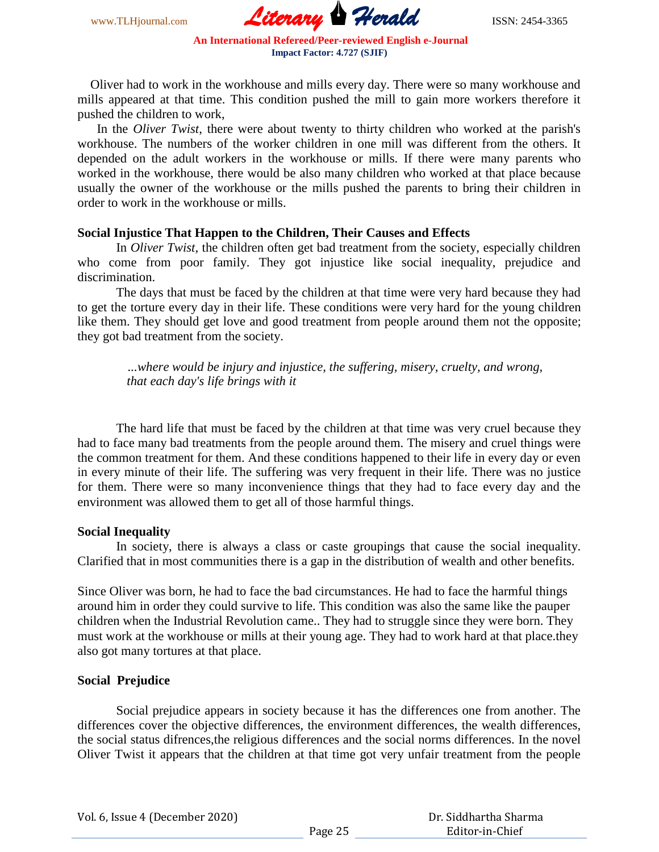www.TLHjournal.com **Literary Herald Herald** ISSN: 2454-3365

 Oliver had to work in the workhouse and mills every day. There were so many workhouse and mills appeared at that time. This condition pushed the mill to gain more workers therefore it pushed the children to work,

 In the *Oliver Twist*, there were about twenty to thirty children who worked at the parish's workhouse. The numbers of the worker children in one mill was different from the others. It depended on the adult workers in the workhouse or mills. If there were many parents who worked in the workhouse, there would be also many children who worked at that place because usually the owner of the workhouse or the mills pushed the parents to bring their children in order to work in the workhouse or mills.

## **Social Injustice That Happen to the Children, Their Causes and Effects**

In *Oliver Twist,* the children often get bad treatment from the society, especially children who come from poor family. They got injustice like social inequality, prejudice and discrimination.

The days that must be faced by the children at that time were very hard because they had to get the torture every day in their life. These conditions were very hard for the young children like them. They should get love and good treatment from people around them not the opposite; they got bad treatment from the society.

*...where would be injury and injustice, the suffering, misery, cruelty, and wrong, that each day's life brings with it*

The hard life that must be faced by the children at that time was very cruel because they had to face many bad treatments from the people around them. The misery and cruel things were the common treatment for them. And these conditions happened to their life in every day or even in every minute of their life. The suffering was very frequent in their life. There was no justice for them. There were so many inconvenience things that they had to face every day and the environment was allowed them to get all of those harmful things.

### **Social Inequality**

In society, there is always a class or caste groupings that cause the social inequality. Clarified that in most communities there is a gap in the distribution of wealth and other benefits.

Since Oliver was born, he had to face the bad circumstances. He had to face the harmful things around him in order they could survive to life. This condition was also the same like the pauper children when the Industrial Revolution came.. They had to struggle since they were born. They must work at the workhouse or mills at their young age. They had to work hard at that place.they also got many tortures at that place.

# **Social Prejudice**

Social prejudice appears in society because it has the differences one from another. The differences cover the objective differences, the environment differences, the wealth differences, the social status difrences,the religious differences and the social norms differences. In the novel Oliver Twist it appears that the children at that time got very unfair treatment from the people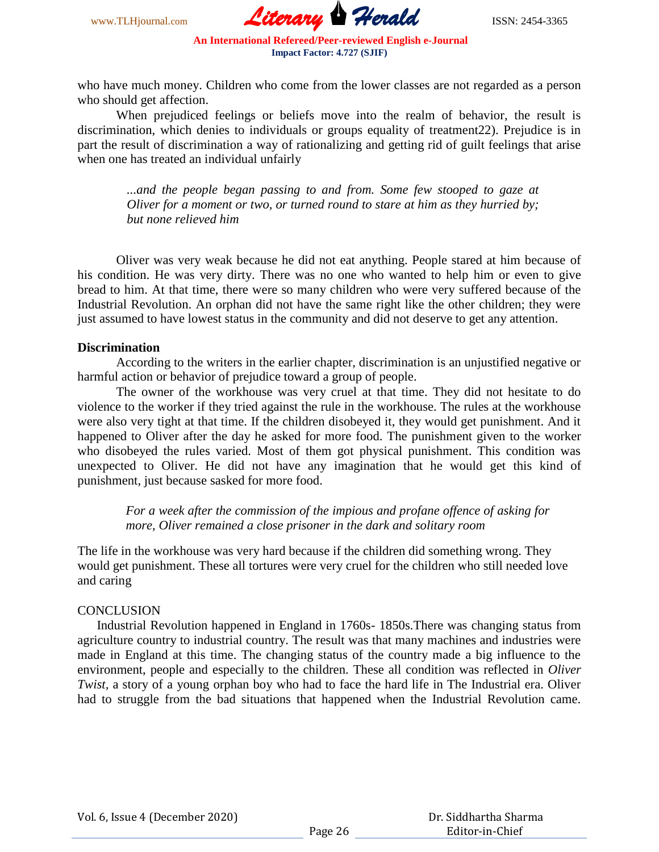www.TLHjournal.com **Literary Herald** ISSN: 2454-3365

who have much money. Children who come from the lower classes are not regarded as a person who should get affection.

When prejudiced feelings or beliefs move into the realm of behavior, the result is discrimination, which denies to individuals or groups equality of treatment22). Prejudice is in part the result of discrimination a way of rationalizing and getting rid of guilt feelings that arise when one has treated an individual unfairly

*...and the people began passing to and from. Some few stooped to gaze at Oliver for a moment or two, or turned round to stare at him as they hurried by; but none relieved him*

Oliver was very weak because he did not eat anything. People stared at him because of his condition. He was very dirty. There was no one who wanted to help him or even to give bread to him. At that time, there were so many children who were very suffered because of the Industrial Revolution. An orphan did not have the same right like the other children; they were just assumed to have lowest status in the community and did not deserve to get any attention.

#### **Discrimination**

According to the writers in the earlier chapter, discrimination is an unjustified negative or harmful action or behavior of prejudice toward a group of people.

The owner of the workhouse was very cruel at that time. They did not hesitate to do violence to the worker if they tried against the rule in the workhouse. The rules at the workhouse were also very tight at that time. If the children disobeyed it, they would get punishment. And it happened to Oliver after the day he asked for more food. The punishment given to the worker who disobeyed the rules varied. Most of them got physical punishment. This condition was unexpected to Oliver. He did not have any imagination that he would get this kind of punishment, just because sasked for more food.

*For a week after the commission of the impious and profane offence of asking for more, Oliver remained a close prisoner in the dark and solitary room*

The life in the workhouse was very hard because if the children did something wrong. They would get punishment. These all tortures were very cruel for the children who still needed love and caring

## **CONCLUSION**

 Industrial Revolution happened in England in 1760s- 1850s.There was changing status from agriculture country to industrial country. The result was that many machines and industries were made in England at this time. The changing status of the country made a big influence to the environment, people and especially to the children. These all condition was reflected in *Oliver Twist,* a story of a young orphan boy who had to face the hard life in The Industrial era. Oliver had to struggle from the bad situations that happened when the Industrial Revolution came.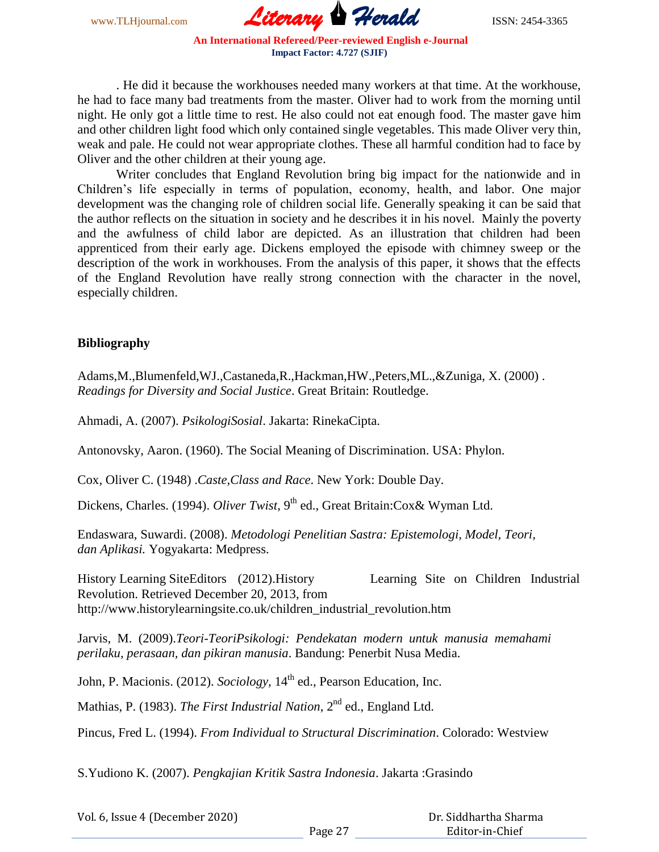www.TLHjournal.com **Literary Herald ISSN: 2454-3365** 

. He did it because the workhouses needed many workers at that time. At the workhouse, he had to face many bad treatments from the master. Oliver had to work from the morning until night. He only got a little time to rest. He also could not eat enough food. The master gave him and other children light food which only contained single vegetables. This made Oliver very thin, weak and pale. He could not wear appropriate clothes. These all harmful condition had to face by Oliver and the other children at their young age.

Writer concludes that England Revolution bring big impact for the nationwide and in Children's life especially in terms of population, economy, health, and labor. One major development was the changing role of children social life. Generally speaking it can be said that the author reflects on the situation in society and he describes it in his novel. Mainly the poverty and the awfulness of child labor are depicted. As an illustration that children had been apprenticed from their early age. Dickens employed the episode with chimney sweep or the description of the work in workhouses. From the analysis of this paper, it shows that the effects of the England Revolution have really strong connection with the character in the novel, especially children.

# **Bibliography**

Adams,M.,Blumenfeld,WJ.,Castaneda,R.,Hackman,HW.,Peters,ML.,&Zuniga, X. (2000) . *Readings for Diversity and Social Justice*. Great Britain: Routledge.

Ahmadi, A. (2007). *PsikologiSosial*. Jakarta: RinekaCipta.

Antonovsky, Aaron. (1960). The Social Meaning of Discrimination. USA: Phylon.

Cox, Oliver C. (1948) .*Caste,Class and Race*. New York: Double Day.

Dickens, Charles. (1994). *Oliver Twist*, 9<sup>th</sup> ed., Great Britain: Cox & Wyman Ltd.

Endaswara, Suwardi. (2008). *Metodologi Penelitian Sastra: Epistemologi, Model, Teori, dan Aplikasi.* Yogyakarta: Medpress.

History Learning SiteEditors (2012).History Learning Site on Children Industrial Revolution. Retrieved December 20, 2013, from http://www.historylearningsite.co.uk/children\_industrial\_revolution.htm

Jarvis, M. (2009).*Teori-TeoriPsikologi: Pendekatan modern untuk manusia memahami perilaku, perasaan, dan pikiran manusia*. Bandung: Penerbit Nusa Media.

John, P. Macionis. (2012). *Sociology*, 14<sup>th</sup> ed., Pearson Education, Inc.

Mathias, P. (1983). *The First Industrial Nation*, 2<sup>nd</sup> ed., England Ltd.

Pincus, Fred L. (1994). *From Individual to Structural Discrimination*. Colorado: Westview

S.Yudiono K. (2007). *Pengkajian Kritik Sastra Indonesia*. Jakarta :Grasindo

Vol. 6, Issue 4 (December 2020)

 Dr. Siddhartha Sharma Editor-in-Chief